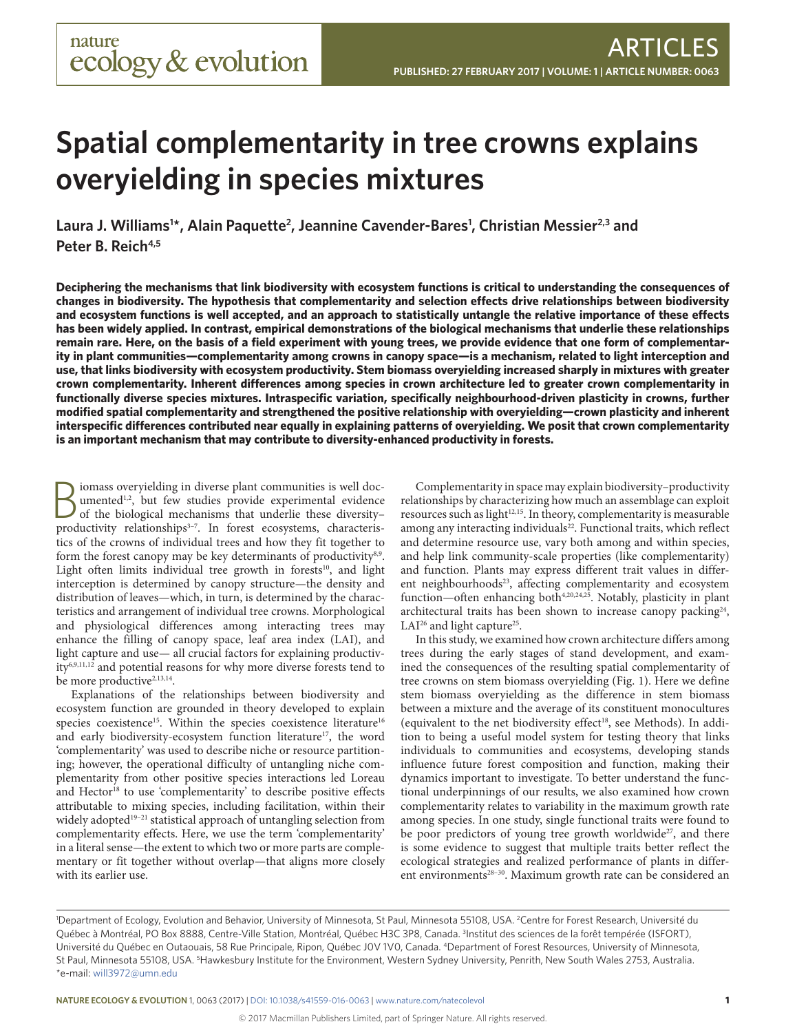# **Spatial complementarity in tree crowns explains overyielding in species mixtures**

Laura J. Williams<sup>1\*</sup>, Alain Paquette<sup>2</sup>, Jeannine Cavender-Bares<sup>1</sup>, Christian Messier<sup>2,3</sup> and Peter B. Reich<sup>4,5</sup>

**Deciphering the mechanisms that link biodiversity with ecosystem functions is critical to understanding the consequences of changes in biodiversity. The hypothesis that complementarity and selection effects drive relationships between biodiversity and ecosystem functions is well accepted, and an approach to statistically untangle the relative importance of these effects has been widely applied. In contrast, empirical demonstrations of the biological mechanisms that underlie these relationships remain rare. Here, on the basis of a field experiment with young trees, we provide evidence that one form of complementarity in plant communities—complementarity among crowns in canopy space—is a mechanism, related to light interception and use, that links biodiversity with ecosystem productivity. Stem biomass overyielding increased sharply in mixtures with greater crown complementarity. Inherent differences among species in crown architecture led to greater crown complementarity in functionally diverse species mixtures. Intraspecific variation, specifically neighbourhood-driven plasticity in crowns, further modified spatial complementarity and strengthened the positive relationship with overyielding—crown plasticity and inherent interspecific differences contributed near equally in explaining patterns of overyielding. We posit that crown complementarity is an important mechanism that may contribute to diversity-enhanced productivity in forests.**

**B** iomass overyielding in diverse plant communities is well documented<sup>1,2</sup>, but few studies provide experimental evidence of the biological mechanisms that underlie these diversity– umented<sup>1[,2](#page-5-1)</sup>, but few studies provide experimental evidence productivity relationships<sup>3-7</sup>. In forest ecosystems, characteristics of the crowns of individual trees and how they fit together to form the forest canopy may be key determinants of productivity<sup>8,[9](#page-5-4)</sup>. Light often limits individual tree growth in forests<sup>10</sup>, and light interception is determined by canopy structure—the density and distribution of leaves—which, in turn, is determined by the characteristics and arrangement of individual tree crowns. Morphological and physiological differences among interacting trees may enhance the filling of canopy space, leaf area index (LAI), and light capture and use— all crucial factors for explaining productivit[y6,](#page-5-6)[9](#page-5-4),[11](#page-5-7)[,12](#page-5-8) and potential reasons for why more diverse forests tend to be more productive<sup>2,[13](#page-5-9),14</sup>.

Explanations of the relationships between biodiversity and ecosystem function are grounded in theory developed to explain species coexistence<sup>15</sup>. Within the species coexistence literature<sup>16</sup> and early biodiversity-ecosystem function literature<sup>17</sup>, the word 'complementarity' was used to describe niche or resource partitioning; however, the operational difficulty of untangling niche complementarity from other positive species interactions led Loreau and Hector<sup>18</sup> to use 'complementarity' to describe positive effects attributable to mixing species, including facilitation, within their widely adopted<sup>19-21</sup> statistical approach of untangling selection from complementarity effects. Here, we use the term 'complementarity' in a literal sense—the extent to which two or more parts are complementary or fit together without overlap—that aligns more closely with its earlier use.

Complementarity in space may explain biodiversity–productivity relationships by characterizing how much an assemblage can exploit resources such as light<sup>12,15</sup>. In theory, complementarity is measurable among any interacting individuals<sup>22</sup>. Functional traits, which reflect and determine resource use, vary both among and within species, and help link community-scale properties (like complementarity) and function. Plants may express different trait values in differ-ent neighbourhoods<sup>[23](#page-5-17)</sup>, affecting complementarity and ecosystem function—often enhancing both<sup>[4](#page-5-18)[,20,](#page-5-19)[24](#page-5-20),25</sup>. Notably, plasticity in plant architectural traits has been shown to increase canopy packing $24$ , LAI<sup>26</sup> and light capture<sup>25</sup>.

In this study, we examined how crown architecture differs among trees during the early stages of stand development, and examined the consequences of the resulting spatial complementarity of tree crowns on stem biomass overyielding [\(Fig. 1](#page-1-0)). Here we define stem biomass overyielding as the difference in stem biomass between a mixture and the average of its constituent monocultures (equivalent to the net biodiversity effect<sup>[18](#page-5-14)</sup>, see Methods). In addition to being a useful model system for testing theory that links individuals to communities and ecosystems, developing stands influence future forest composition and function, making their dynamics important to investigate. To better understand the functional underpinnings of our results, we also examined how crown complementarity relates to variability in the maximum growth rate among species. In one study, single functional traits were found to be poor predictors of young tree growth worldwide<sup>[27](#page-5-23)</sup>, and there is some evidence to suggest that multiple traits better reflect the ecological strategies and realized performance of plants in different environments<sup>28-30</sup>. Maximum growth rate can be considered an

<sup>&</sup>lt;sup>1</sup>Department of Ecology, Evolution and Behavior, University of Minnesota, St Paul, Minnesota 55108, USA. <sup>2</sup>Centre for Forest Research, Université du Québec à Montréal, PO Box 8888, Centre-Ville Station, Montréal, Québec H3C 3P8, Canada. 3 Institut des sciences de la forêt tempérée (ISFORT), Université du Québec en Outaouais, 58 Rue Principale, Ripon, Québec J0V 1V0, Canada. 4Department of Forest Resources, University of Minnesota, St Paul, Minnesota 55108, USA. <sup>5</sup>Hawkesbury Institute for the Environment, Western Sydney University, Penrith, New South Wales 2753, Australia. \*e-mail: [will3972@umn.edu](mailto:will3972@umn.edu)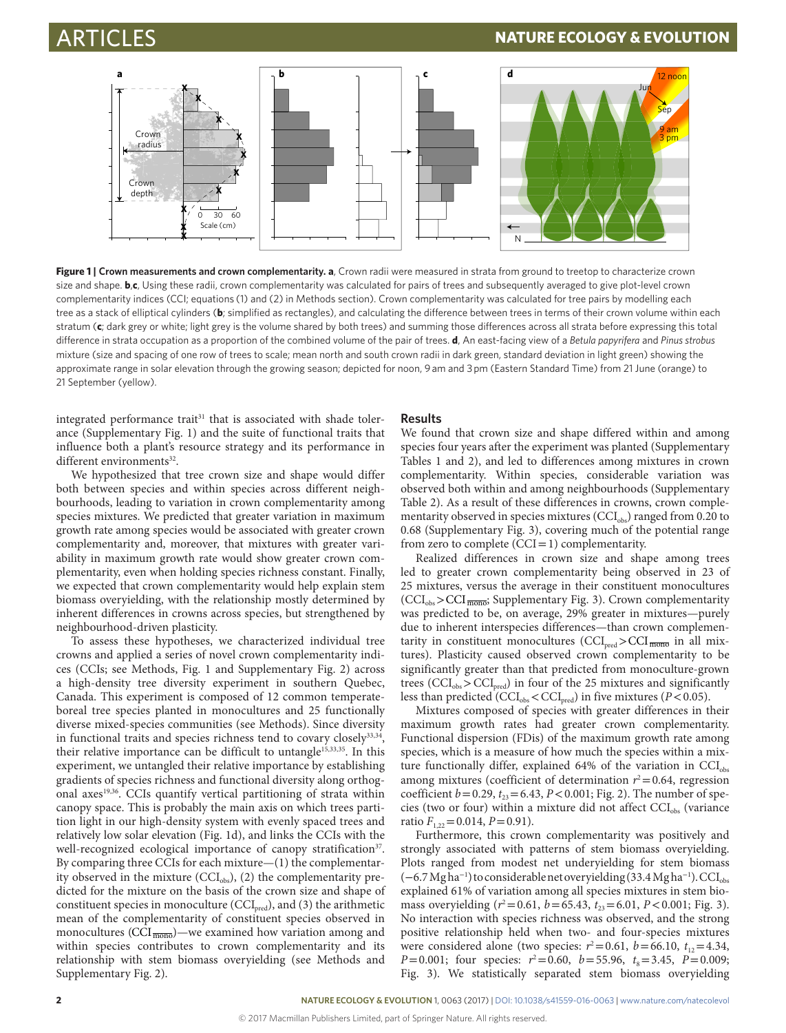

<span id="page-1-0"></span>**Figure 1 | Crown measurements and crown complementarity. a**, Crown radii were measured in strata from ground to treetop to characterize crown size and shape. **b**,**c**, Using these radii, crown complementarity was calculated for pairs of trees and subsequently averaged to give plot-level crown complementarity indices (CCI; equations (1) and (2) in Methods section). Crown complementarity was calculated for tree pairs by modelling each tree as a stack of elliptical cylinders (**b**; simplified as rectangles), and calculating the difference between trees in terms of their crown volume within each stratum (**c**; dark grey or white; light grey is the volume shared by both trees) and summing those differences across all strata before expressing this total difference in strata occupation as a proportion of the combined volume of the pair of trees. **d**, An east-facing view of a *Betula papyrifera* and *Pinus strobus* mixture (size and spacing of one row of trees to scale; mean north and south crown radii in dark green, standard deviation in light green) showing the approximate range in solar elevation through the growing season; depicted for noon, 9 am and 3 pm (Eastern Standard Time) from 21 June (orange) to 21 September (yellow).

integrated performance trait<sup>31</sup> that is associated with shade tolerance (Supplementary Fig. 1) and the suite of functional traits that influence both a plant's resource strategy and its performance in different environments<sup>32</sup>.

We hypothesized that tree crown size and shape would differ both between species and within species across different neighbourhoods, leading to variation in crown complementarity among species mixtures. We predicted that greater variation in maximum growth rate among species would be associated with greater crown complementarity and, moreover, that mixtures with greater variability in maximum growth rate would show greater crown complementarity, even when holding species richness constant. Finally, we expected that crown complementarity would help explain stem biomass overyielding, with the relationship mostly determined by inherent differences in crowns across species, but strengthened by neighbourhood-driven plasticity.

To assess these hypotheses, we characterized individual tree crowns and applied a series of novel crown complementarity indices (CCIs; see Methods, [Fig. 1](#page-1-0) and Supplementary Fig. 2) across a high-density tree diversity experiment in southern Quebec, Canada. This experiment is composed of 12 common temperateboreal tree species planted in monocultures and 25 functionally diverse mixed-species communities (see Methods). Since diversity in functional traits and species richness tend to covary closely<sup>[33](#page-5-27),34</sup>, their relative importance can be difficult to untangle<sup>15,[33](#page-5-27),35</sup>. In this experiment, we untangled their relative importance by establishing gradients of species richness and functional diversity along orthogonal axes<sup>19,36</sup>. CCIs quantify vertical partitioning of strata within canopy space. This is probably the main axis on which trees partition light in our high-density system with evenly spaced trees and relatively low solar elevation [\(Fig. 1d](#page-1-0)), and links the CCIs with the well-recognized ecological importance of canopy stratification<sup>37</sup>. By comparing three CCIs for each mixture—(1) the complementarity observed in the mixture  $(CCI_{obs})$ , (2) the complementarity predicted for the mixture on the basis of the crown size and shape of constituent species in monoculture ( $\text{CCI}_{\text{pred}}$ ), and (3) the arithmetic mean of the complementarity of constituent species observed in monocultures (CCI $_{\overline{mono}}$ )—we examined how variation among and within species contributes to crown complementarity and its relationship with stem biomass overyielding (see Methods and Supplementary Fig. 2).

### **Results**

We found that crown size and shape differed within and among species four years after the experiment was planted (Supplementary Tables 1 and 2), and led to differences among mixtures in crown complementarity. Within species, considerable variation was observed both within and among neighbourhoods (Supplementary Table 2). As a result of these differences in crowns, crown complementarity observed in species mixtures (CCI<sub>obs</sub>) ranged from 0.20 to 0.68 (Supplementary Fig. 3), covering much of the potential range from zero to complete  $(CCI = 1)$  complementarity.

Realized differences in crown size and shape among trees led to greater crown complementarity being observed in 23 of 25 mixtures, versus the average in their constituent monocultures (CCI<sub>obs</sub>>CCI<sub>mono</sub>; Supplementary Fig. 3). Crown complementarity was predicted to be, on average, 29% greater in mixtures—purely due to inherent interspecies differences—than crown complementarity in constituent monocultures  $(CCI_{pred} > CCI_{\overline{mono}}$  in all mixtures). Plasticity caused observed crown complementarity to be significantly greater than that predicted from monoculture-grown trees  $(CCI_{obs} > CCI_{pred})$  in four of the 25 mixtures and significantly less than predicted  $\text{(CCI}_{obs} < \text{CCI}_{pred}$ ) in five mixtures (*P*<0.05).

Mixtures composed of species with greater differences in their maximum growth rates had greater crown complementarity. Functional dispersion (FDis) of the maximum growth rate among species, which is a measure of how much the species within a mixture functionally differ, explained 64% of the variation in  $\text{CCI}_{obs}$ among mixtures (coefficient of determination  $r^2$  = 0.64, regression coefficient  $b = 0.29$ ,  $t_{23} = 6.43$ ,  $P < 0.001$ ; [Fig. 2](#page-2-0)). The number of species (two or four) within a mixture did not affect CCI<sub>obs</sub> (variance ratio  $F_{1,22}=0.014, P=0.91$ ).

Furthermore, this crown complementarity was positively and strongly associated with patterns of stem biomass overyielding. Plots ranged from modest net underyielding for stem biomass (−6.7 Mg ha<sup>-1</sup>) to considerable net overyielding (33.4 Mg ha<sup>-1</sup>). CCI<sub>obs</sub> explained 61% of variation among all species mixtures in stem biomass overyielding  $(r^2=0.61, b=65.43, t_{23}=6.01, P<0.001$ ; [Fig. 3](#page-2-1)). No interaction with species richness was observed, and the strong positive relationship held when two- and four-species mixtures were considered alone (two species:  $r^2 = 0.61$ ,  $b = 66.10$ ,  $t_{12} = 4.34$ , *P*=0.001; four species:  $r^2$ =0.60, *b*=55.96,  $t_8$ =3.45, *P*=0.009; [Fig. 3](#page-2-1)). We statistically separated stem biomass overyielding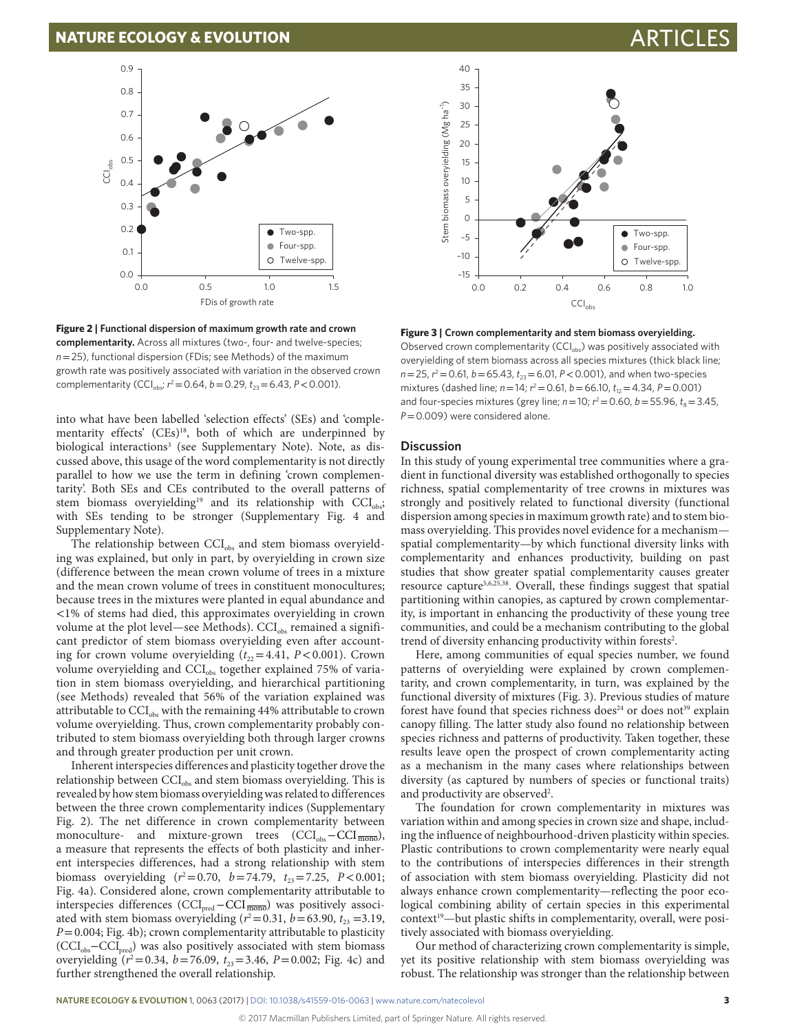## **NATURE ECOLOGY & EVOLUTION**



<span id="page-2-0"></span>**Figure 2 | Functional dispersion of maximum growth rate and crown complementarity.** Across all mixtures (two-, four- and twelve-species; *n*= 25), functional dispersion (FDis; see Methods) of the maximum growth rate was positively associated with variation in the observed crown complementarity (CCI<sub>obs</sub>;  $r^2 = 0.64$ ,  $b = 0.29$ ,  $t_{23} = 6.43$ ,  $P < 0.001$ ).

into what have been labelled 'selection effects' (SEs) and 'complementarity effects' (CEs)<sup>18</sup>, both of which are underpinned by biological interactions<sup>3</sup> (see Supplementary Note). Note, as discussed above, this usage of the word complementarity is not directly parallel to how we use the term in defining 'crown complementarity'. Both SEs and CEs contributed to the overall patterns of stem biomass overyielding<sup>19</sup> and its relationship with CCI<sub>obs</sub>; with SEs tending to be stronger (Supplementary Fig. 4 and Supplementary Note).

The relationship between CCI<sub>obs</sub> and stem biomass overyielding was explained, but only in part, by overyielding in crown size (difference between the mean crown volume of trees in a mixture and the mean crown volume of trees in constituent monocultures; because trees in the mixtures were planted in equal abundance and <1% of stems had died, this approximates overyielding in crown volume at the plot level—see Methods). CCI<sub>obs</sub> remained a significant predictor of stem biomass overyielding even after accounting for crown volume overyielding  $(t_{22}=4.41, P<0.001)$ . Crown volume overyielding and CCI<sub>obs</sub> together explained 75% of variation in stem biomass overyielding, and hierarchical partitioning (see Methods) revealed that 56% of the variation explained was attributable to CCI<sub>obs</sub> with the remaining 44% attributable to crown volume overyielding. Thus, crown complementarity probably contributed to stem biomass overyielding both through larger crowns and through greater production per unit crown.

Inherent interspecies differences and plasticity together drove the relationship between CCI<sub>obs</sub> and stem biomass overyielding. This is revealed by how stem biomass overyielding was related to differences between the three crown complementarity indices (Supplementary Fig. 2). The net difference in crown complementarity between monoculture- and mixture-grown trees  $(CCI<sub>obs</sub> - CCI<sub>mono</sub>)$ , a measure that represents the effects of both plasticity and inherent interspecies differences, had a strong relationship with stem biomass overyielding  $(r^2=0.70, b=74.79, t_{23}=7.25, P<0.001;$ [Fig. 4a\)](#page-3-0). Considered alone, crown complementarity attributable to interspecies differences (CCIpred−CCI mono) was positively associated with stem biomass overyielding ( $r^2$  = 0.31, *b* = 63.90, *t*<sub>23</sub> = 3.19, *P*=0.004; [Fig. 4b\)](#page-3-0); crown complementarity attributable to plasticity (CCI<sub>obs</sub>–CCI<sub>pred</sub>) was also positively associated with stem biomass overyielding  $(r^2=0.34, b=76.09, t_{23}=3.46, P=0.002$ ; [Fig. 4c](#page-3-0)) and further strengthened the overall relationship.



<span id="page-2-1"></span>**Figure 3 | Crown complementarity and stem biomass overyielding.**

Observed crown complementarity (CCI<sub>obs</sub>) was positively associated with overyielding of stem biomass across all species mixtures (thick black line; *n*= 25, *r* <sup>2</sup>= 0.61, *b*= 65.43, *t*23= 6.01, *P*< 0.001), and when two-species mixtures (dashed line; *n*= 14; *r* <sup>2</sup>= 0.61, *b*= 66.10, *t*12= 4.34, *P*= 0.001) and four-species mixtures (grey line; *n* = 10; *r*<sup>2</sup> = 0.60, *b* = 55.96, *t*<sub>8</sub> = 3.45, *P*= 0.009) were considered alone.

### **Discussion**

In this study of young experimental tree communities where a gradient in functional diversity was established orthogonally to species richness, spatial complementarity of tree crowns in mixtures was strongly and positively related to functional diversity (functional dispersion among species in maximum growth rate) and to stem biomass overyielding. This provides novel evidence for a mechanism spatial complementarity—by which functional diversity links with complementarity and enhances productivity, building on past studies that show greater spatial complementarity causes greater resource capture<sup>5,[6,](#page-5-6)[25](#page-5-21)[,38](#page-5-33)</sup>. Overall, these findings suggest that spatial partitioning within canopies, as captured by crown complementarity, is important in enhancing the productivity of these young tree communities, and could be a mechanism contributing to the global trend of diversity enhancing productivity within forests<sup>[2](#page-5-1)</sup>.

Here, among communities of equal species number, we found patterns of overyielding were explained by crown complementarity, and crown complementarity, in turn, was explained by the functional diversity of mixtures [\(Fig. 3\)](#page-2-1). Previous studies of mature forest have found that species richness does<sup>24</sup> or does not<sup>[39](#page-5-34)</sup> explain canopy filling. The latter study also found no relationship between species richness and patterns of productivity. Taken together, these results leave open the prospect of crown complementarity acting as a mechanism in the many cases where relationships between diversity (as captured by numbers of species or functional traits) and productivity are observed<sup>[2](#page-5-1)</sup>.

The foundation for crown complementarity in mixtures was variation within and among species in crown size and shape, including the influence of neighbourhood-driven plasticity within species. Plastic contributions to crown complementarity were nearly equal to the contributions of interspecies differences in their strength of association with stem biomass overyielding. Plasticity did not always enhance crown complementarity—reflecting the poor ecological combining ability of certain species in this experimental context<sup>19</sup>—but plastic shifts in complementarity, overall, were positively associated with biomass overyielding.

Our method of characterizing crown complementarity is simple, yet its positive relationship with stem biomass overyielding was robust. The relationship was stronger than the relationship between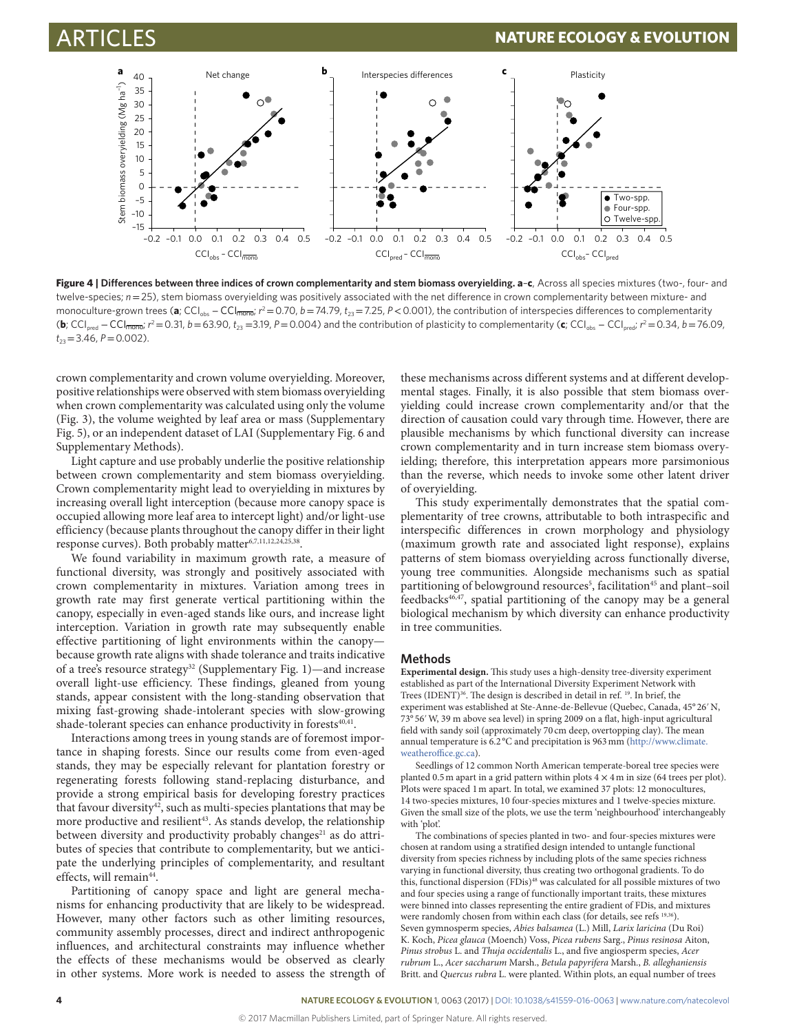# **NATURE ECOLOGY & EVOLUTION**



<span id="page-3-0"></span>**Figure 4 | Differences between three indices of crown complementarity and stem biomass overyielding. a**–**c**, Across all species mixtures (two-, four- and twelve-species;  $n=$  25), stem biomass overyielding was positively associated with the net difference in crown complementarity between mixture- and monoculture-grown trees (**a**; CCI<sub>obs</sub> − CCI<sub>mono</sub>; *r*²= 0.70, *b* = 74.79, *t<sub>23</sub>* = 7.25, *P* < 0.001), the contribution of interspecies differences to complementarity (**b**; CCIpred −CCImono; *r* <sup>2</sup>= 0.31, *b*= 63.90, *t*<sup>23</sup> =3.19, *P*= 0.004) and the contribution of plasticity to complementarity (**c**; CCIobs *−* CCIpred; *r* <sup>2</sup>= 0.34, *b*= 76.09, *t*<sub>23</sub> = 3.46, *P* = 0.002).

crown complementarity and crown volume overyielding. Moreover, positive relationships were observed with stem biomass overyielding when crown complementarity was calculated using only the volume ([Fig. 3\)](#page-2-1), the volume weighted by leaf area or mass (Supplementary Fig. 5), or an independent dataset of LAI (Supplementary Fig. 6 and Supplementary Methods).

Light capture and use probably underlie the positive relationship between crown complementarity and stem biomass overyielding. Crown complementarity might lead to overyielding in mixtures by increasing overall light interception (because more canopy space is occupied allowing more leaf area to intercept light) and/or light-use efficiency (because plants throughout the canopy differ in their light response curves). Both probably matter<sup>[6](#page-5-6)[,7](#page-5-35)[,11](#page-5-7),[12](#page-5-8)[,24](#page-5-20),[25,](#page-5-21)[38](#page-5-33)</sup>.

We found variability in maximum growth rate, a measure of functional diversity, was strongly and positively associated with crown complementarity in mixtures. Variation among trees in growth rate may first generate vertical partitioning within the canopy, especially in even-aged stands like ours, and increase light interception. Variation in growth rate may subsequently enable effective partitioning of light environments within the canopy because growth rate aligns with shade tolerance and traits indicative of a tree's resource strategy[32](#page-5-26) (Supplementary Fig. 1)—and increase overall light-use efficiency. These findings, gleaned from young stands, appear consistent with the long-standing observation that mixing fast-growing shade-intolerant species with slow-growing shade-tolerant species can enhance productivity in forests<sup>40,[41](#page-5-37)</sup>.

Interactions among trees in young stands are of foremost importance in shaping forests. Since our results come from even-aged stands, they may be especially relevant for plantation forestry or regenerating forests following stand-replacing disturbance, and provide a strong empirical basis for developing forestry practices that favour diversity<sup>42</sup>, such as multi-species plantations that may be more productive and resilient<sup>[43](#page-5-39)</sup>. As stands develop, the relationship between diversity and productivity probably changes<sup>[21](#page-5-40)</sup> as do attributes of species that contribute to complementarity, but we anticipate the underlying principles of complementarity, and resultant effects, will remain<sup>44</sup>.

Partitioning of canopy space and light are general mechanisms for enhancing productivity that are likely to be widespread. However, many other factors such as other limiting resources, community assembly processes, direct and indirect anthropogenic influences, and architectural constraints may influence whether the effects of these mechanisms would be observed as clearly in other systems. More work is needed to assess the strength of these mechanisms across different systems and at different developmental stages. Finally, it is also possible that stem biomass overyielding could increase crown complementarity and/or that the direction of causation could vary through time. However, there are plausible mechanisms by which functional diversity can increase crown complementarity and in turn increase stem biomass overyielding; therefore, this interpretation appears more parsimonious than the reverse, which needs to invoke some other latent driver of overyielding.

This study experimentally demonstrates that the spatial complementarity of tree crowns, attributable to both intraspecific and interspecific differences in crown morphology and physiology (maximum growth rate and associated light response), explains patterns of stem biomass overyielding across functionally diverse, young tree communities. Alongside mechanisms such as spatial partitioning of belowground resources<sup>5</sup>, facilitation<sup>45</sup> and plant–soil feedbacks[46](#page-5-43)[,47,](#page-5-44) spatial partitioning of the canopy may be a general biological mechanism by which diversity can enhance productivity in tree communities.

### **Methods**

**Experimental design.** This study uses a high-density tree-diversity experiment established as part of the International Diversity Experiment Network with Trees (IDENT)<sup>[36](#page-5-30)</sup>. The design is described in detail in ref. <sup>19</sup>. In brief, the experiment was established at Ste-Anne-de-Bellevue (Quebec, Canada, 45° 26′N, 73° 56′W, 39 m above sea level) in spring 2009 on a flat, high-input agricultural field with sandy soil (approximately 70 cm deep, overtopping clay). The mean annual temperature is 6.2 °C and precipitation is 963mm [\(http://www.climate.](http://www.climate.weatheroffice.gc.ca) [weatheroffice.gc.ca\)](http://www.climate.weatheroffice.gc.ca).

Seedlings of 12 common North American temperate-boreal tree species were planted 0.5 m apart in a grid pattern within plots  $4 \times 4$  m in size (64 trees per plot). Plots were spaced 1m apart. In total, we examined 37 plots: 12 monocultures, 14 two-species mixtures, 10 four-species mixtures and 1 twelve-species mixture. Given the small size of the plots, we use the term 'neighbourhood' interchangeably with 'plot'.

The combinations of species planted in two- and four-species mixtures were chosen at random using a stratified design intended to untangle functional diversity from species richness by including plots of the same species richness varying in functional diversity, thus creating two orthogonal gradients. To do this, functional dispersion (FDis)<sup>48</sup> was calculated for all possible mixtures of two and four species using a range of functionally important traits, these mixtures were binned into classes representing the entire gradient of FDis, and mixtures were randomly chosen from within each class (for details, see refs [19](#page-5-15)[,36](#page-5-30)). Seven gymnosperm species, *Abies balsamea* (L.) Mill, *Larix laricina* (Du Roi) K. Koch, *Picea glauca* (Moench) Voss, *Picea rubens* Sarg., *Pinus resinosa* Aiton, *Pinus strobus* L. and *Thuja occidentalis* L., and five angiosperm species, *Acer rubrum* L., *Acer saccharum* Marsh., *Betula papyrifera* Marsh., *B. alleghaniensis* Britt. and *Quercus rubra* L. were planted. Within plots, an equal number of trees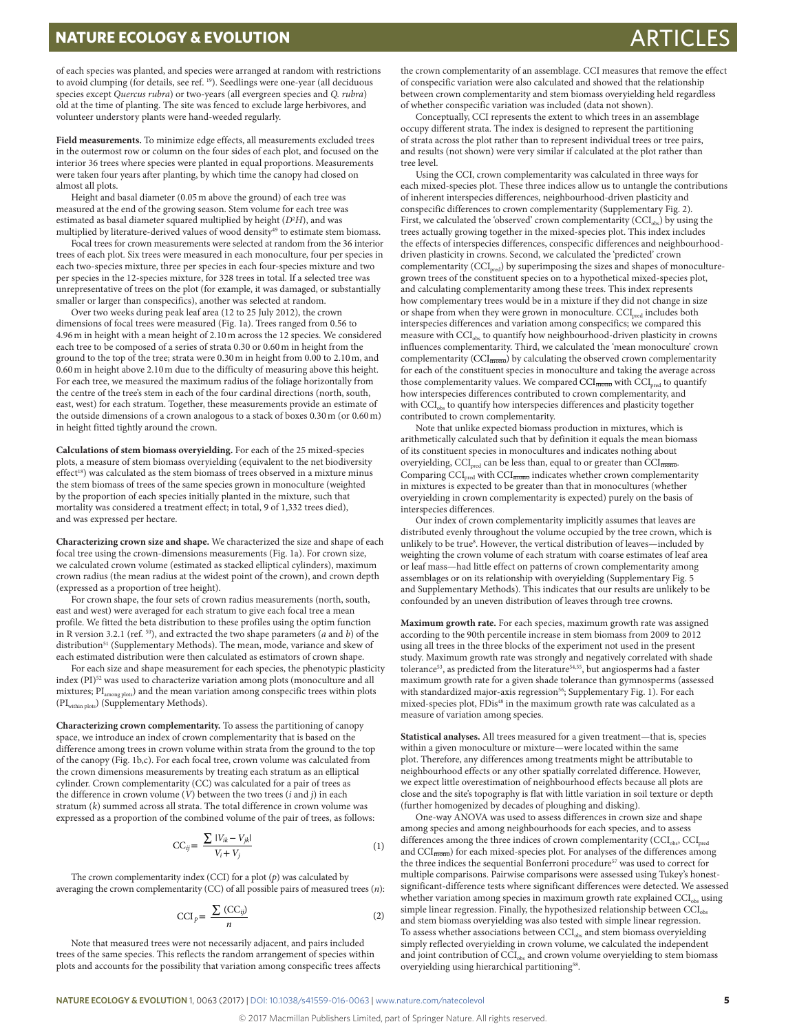# **NATURE ECOLOGY & EVOLUTION ARTICLES ARTICLES ARTICLES**

of each species was planted, and species were arranged at random with restrictions to avoid clumping (for details, see ref. [19\)](#page-5-15). Seedlings were one-year (all deciduous species except *Quercus rubra*) or two-years (all evergreen species and *Q. rubra*) old at the time of planting. The site was fenced to exclude large herbivores, and volunteer understory plants were hand-weeded regularly.

**Field measurements.** To minimize edge effects, all measurements excluded trees in the outermost row or column on the four sides of each plot, and focused on the interior 36 trees where species were planted in equal proportions. Measurements were taken four years after planting, by which time the canopy had closed on almost all plots.

Height and basal diameter (0.05m above the ground) of each tree was measured at the end of the growing season. Stem volume for each tree was estimated as basal diameter squared multiplied by height (*D*<sup>2</sup> *H*), and was multiplied by literature-derived values of wood density<sup>49</sup> to estimate stem biomass.

Focal trees for crown measurements were selected at random from the 36 interior trees of each plot. Six trees were measured in each monoculture, four per species in each two-species mixture, three per species in each four-species mixture and two per species in the 12-species mixture, for 328 trees in total. If a selected tree was unrepresentative of trees on the plot (for example, it was damaged, or substantially smaller or larger than conspecifics), another was selected at random.

Over two weeks during peak leaf area (12 to 25 July 2012), the crown dimensions of focal trees were measured ([Fig. 1a\)](#page-1-0). Trees ranged from 0.56 to 4.96m in height with a mean height of 2.10m across the 12 species. We considered each tree to be composed of a series of strata 0.30 or 0.60m in height from the ground to the top of the tree; strata were 0.30m in height from 0.00 to 2.10m, and 0.60m in height above 2.10m due to the difficulty of measuring above this height. For each tree, we measured the maximum radius of the foliage horizontally from the centre of the tree's stem in each of the four cardinal directions (north, south, east, west) for each stratum. Together, these measurements provide an estimate of the outside dimensions of a crown analogous to a stack of boxes 0.30m (or 0.60m) in height fitted tightly around the crown.

**Calculations of stem biomass overyielding.** For each of the 25 mixed-species plots, a measure of stem biomass overyielding (equivalent to the net biodiversity effect<sup>[18](#page-5-14)</sup>) was calculated as the stem biomass of trees observed in a mixture minus the stem biomass of trees of the same species grown in monoculture (weighted by the proportion of each species initially planted in the mixture, such that mortality was considered a treatment effect; in total, 9 of 1,332 trees died), and was expressed per hectare.

**Characterizing crown size and shape.** We characterized the size and shape of each focal tree using the crown-dimensions measurements ([Fig. 1a](#page-1-0)). For crown size, we calculated crown volume (estimated as stacked elliptical cylinders), maximum crown radius (the mean radius at the widest point of the crown), and crown depth (expressed as a proportion of tree height).

For crown shape, the four sets of crown radius measurements (north, south, east and west) were averaged for each stratum to give each focal tree a mean profile. We fitted the beta distribution to these profiles using the optim function in R version 3.2.1 (ref. [50\)](#page-5-47), and extracted the two shape parameters (*a* and *b*) of the distribution<sup>51</sup> (Supplementary Methods). The mean, mode, variance and skew of each estimated distribution were then calculated as estimators of crown shape.

For each size and shape measurement for each species, the phenotypic plasticity index (PI)[52](#page-5-49) was used to characterize variation among plots (monoculture and all  $\operatorname{mixtures};$   $\text{PI}_{\text{among plots}})$  and the mean variation among conspecific trees within plots (PIwithin plots) (Supplementary Methods).

**Characterizing crown complementarity.** To assess the partitioning of canopy space, we introduce an index of crown complementarity that is based on the difference among trees in crown volume within strata from the ground to the top of the canopy [\(Fig. 1b,c](#page-1-0)). For each focal tree, crown volume was calculated from the crown dimensions measurements by treating each stratum as an elliptical cylinder. Crown complementarity (CC) was calculated for a pair of trees as the difference in crown volume (*V*) between the two trees (*i* and *j*) in each stratum (*k*) summed across all strata. The total difference in crown volume was expressed as a proportion of the combined volume of the pair of trees, as follows:

$$
CC_{ij} = \frac{\sum |V_{ik} - V_{jk}|}{V_i + V_j} \tag{1}
$$

The crown complementarity index (CCI) for a plot (*p*) was calculated by averaging the crown complementarity (CC) of all possible pairs of measured trees (*n*):

$$
CCI_{p} = \frac{\sum (CC_{ij})}{n}
$$
 (2)

Note that measured trees were not necessarily adjacent, and pairs included trees of the same species. This reflects the random arrangement of species within plots and accounts for the possibility that variation among conspecific trees affects the crown complementarity of an assemblage. CCI measures that remove the effect of conspecific variation were also calculated and showed that the relationship between crown complementarity and stem biomass overyielding held regardless of whether conspecific variation was included (data not shown).

Conceptually, CCI represents the extent to which trees in an assemblage occupy different strata. The index is designed to represent the partitioning of strata across the plot rather than to represent individual trees or tree pairs, and results (not shown) were very similar if calculated at the plot rather than tree level.

Using the CCI, crown complementarity was calculated in three ways for each mixed-species plot. These three indices allow us to untangle the contributions of inherent interspecies differences, neighbourhood-driven plasticity and conspecific differences to crown complementarity (Supplementary Fig. 2). First, we calculated the 'observed' crown complementarity  $(CCI_{obs})$  by using the trees actually growing together in the mixed-species plot. This index includes the effects of interspecies differences, conspecific differences and neighbourhooddriven plasticity in crowns. Second, we calculated the 'predicted' crown complementarity  $(CCI_{\text{pred}})$  by superimposing the sizes and shapes of monoculturegrown trees of the constituent species on to a hypothetical mixed-species plot, and calculating complementarity among these trees. This index represents how complementary trees would be in a mixture if they did not change in size or shape from when they were grown in monoculture. CCI<sub>pred</sub> includes both interspecies differences and variation among conspecifics; we compared this measure with CCI<sub>obs</sub> to quantify how neighbourhood-driven plasticity in crowns influences complementarity. Third, we calculated the 'mean monoculture' crown complementarity ( $CCI_{\overline{mono}}$ ) by calculating the observed crown complementarity for each of the constituent species in monoculture and taking the average across those complementarity values. We compared  $CCI_{\overline{mono}}$  with  $CCI_{\text{pred}}$  to quantify how interspecies differences contributed to crown complementarity, and with CCI<sub>obs</sub> to quantify how interspecies differences and plasticity together contributed to crown complementarity.

Note that unlike expected biomass production in mixtures, which is arithmetically calculated such that by definition it equals the mean biomass of its constituent species in monocultures and indicates nothing about overyielding, CCI<sub>pred</sub> can be less than, equal to or greater than  $\text{CCI}_{\overline{mono}}$ Comparing CCI<sub>pred</sub> with CCI<sub>mono</sub> indicates whether crown complementarity in mixtures is expected to be greater than that in monocultures (whether overyielding in crown complementarity is expected) purely on the basis of interspecies differences.

Our index of crown complementarity implicitly assumes that leaves are distributed evenly throughout the volume occupied by the tree crown, which is unlikely to be true<sup>8</sup>. However, the vertical distribution of leaves—included by weighting the crown volume of each stratum with coarse estimates of leaf area or leaf mass—had little effect on patterns of crown complementarity among assemblages or on its relationship with overyielding (Supplementary Fig. 5 and Supplementary Methods). This indicates that our results are unlikely to be confounded by an uneven distribution of leaves through tree crowns.

**Maximum growth rate.** For each species, maximum growth rate was assigned according to the 90th percentile increase in stem biomass from 2009 to 2012 using all trees in the three blocks of the experiment not used in the present study. Maximum growth rate was strongly and negatively correlated with shade tolerance<sup>53</sup>, as predicted from the literature<sup>[54,](#page-5-51)55</sup>, but angiosperms had a faster maximum growth rate for a given shade tolerance than gymnosperms (assessed with standardized major-axis regression<sup>56</sup>; Supplementary Fig. 1). For each mixed-species plot, FDis<sup>48</sup> in the maximum growth rate was calculated as a measure of variation among species.

**Statistical analyses.** All trees measured for a given treatment—that is, species within a given monoculture or mixture—were located within the same plot. Therefore, any differences among treatments might be attributable to neighbourhood effects or any other spatially correlated difference. However, we expect little overestimation of neighbourhood effects because all plots are close and the site's topography is flat with little variation in soil texture or depth (further homogenized by decades of ploughing and disking).

One-way ANOVA was used to assess differences in crown size and shape among species and among neighbourhoods for each species, and to assess differences among the three indices of crown complementarity (CCI<sub>obs</sub>, CCI<sub>pred</sub> and  $CCI_{\overline{mono}}$ ) for each mixed-species plot. For analyses of the differences among the three indices the sequential Bonferroni procedure<sup>57</sup> was used to correct for multiple comparisons. Pairwise comparisons were assessed using Tukey's honestsignificant-difference tests where significant differences were detected. We assessed whether variation among species in maximum growth rate explained CCI<sub>obs</sub> using simple linear regression. Finally, the hypothesized relationship between CCI<sub>obs</sub> and stem biomass overyielding was also tested with simple linear regression. To assess whether associations between CCI<sub>obs</sub> and stem biomass overyielding simply reflected overyielding in crown volume, we calculated the independent and joint contribution of CCI<sub>obs</sub> and crown volume overyielding to stem biomass overyielding using hierarchical partitioning<sup>[58](#page-5-55)</sup>.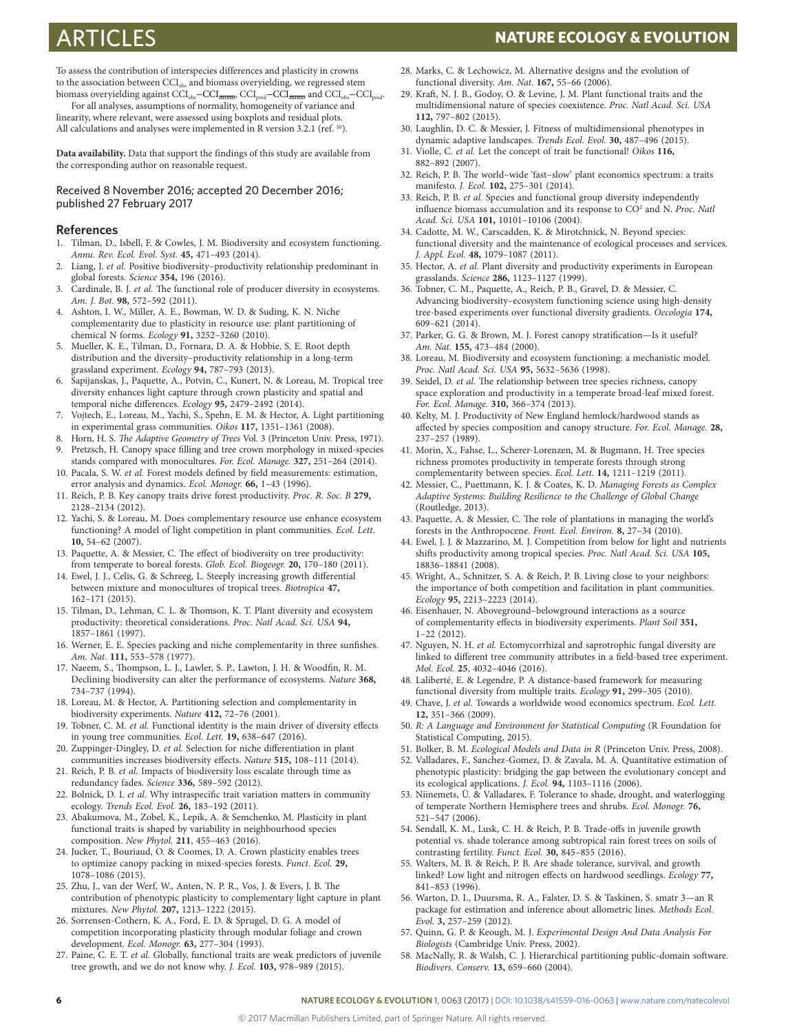To assess the contribution of interspecies differences and plasticity in crowns to the association between CCI<sub>obs</sub> and biomass overyielding, we regressed stem

biomass overyielding against CCI<sub>obs</sub>−CCI<sub>mono</sub>, CCI<sub>pred</sub>−CCI<sub>mono</sub> and CCI<sub>obs</sub>−CCI<sub>pred</sub>. For all analyses, assumptions of normality, homogeneity of variance and linearity, where relevant, were assessed using boxplots and residual plots. All calculations and analyses were implemented in R version 3.2.1 (ref. <sup>[50](#page-5-47)</sup>).

**Data availability.** Data that support the findings of this study are available from the corresponding author on reasonable request.

### Received 8 November 2016; accepted 20 December 2016; published 27 February 2017

### **References**

- <span id="page-5-0"></span>1. Tilman, D., Isbell, F. & Cowles, J. M. Biodiversity and ecosystem functioning. *Annu. Rev. Ecol. Evol. Syst.* **45,** 471–493 (2014).
- <span id="page-5-1"></span>2. Liang, J. *et al.* Positive biodiversity–productivity relationship predominant in global forests. *Science* **354,** 196 (2016).
- <span id="page-5-2"></span>3. Cardinale, B. J. *et al.* The functional role of producer diversity in ecosystems. *Am. J. Bot.* **98,** 572–592 (2011).
- <span id="page-5-18"></span>4. Ashton, I. W., Miller, A. E., Bowman, W. D. & Suding, K. N. Niche complementarity due to plasticity in resource use: plant partitioning of chemical N forms. *Ecology* **91,** 3252–3260 (2010).
- <span id="page-5-32"></span>5. Mueller, K. E., Tilman, D., Fornara, D. A. & Hobbie, S. E. Root depth distribution and the diversity–productivity relationship in a long-term grassland experiment. *Ecology* **94,** 787–793 (2013).
- <span id="page-5-6"></span>6. Sapijanskas, J., Paquette, A., Potvin, C., Kunert, N. & Loreau, M. Tropical tree diversity enhances light capture through crown plasticity and spatial and temporal niche differences. *Ecology* **95,** 2479–2492 (2014).
- <span id="page-5-35"></span>7. Vojtech, E., Loreau, M., Yachi, S., Spehn, E. M. & Hector, A. Light partitioning in experimental grass communities. *Oikos* **117,** 1351–1361 (2008).
- <span id="page-5-3"></span>8. Horn, H. S. *The Adaptive Geometry of Trees* Vol. 3 (Princeton Univ. Press, 1971).
- <span id="page-5-4"></span>9. Pretzsch, H. Canopy space filling and tree crown morphology in mixed-species stands compared with monocultures. *For. Ecol. Manage.* **327,** 251–264 (2014).
- <span id="page-5-5"></span>10. Pacala, S. W. *et al.* Forest models defined by field measurements: estimation, error analysis and dynamics. *Ecol. Monogr.* **66,** 1–43 (1996).
- <span id="page-5-7"></span>11. Reich, P. B. Key canopy traits drive forest productivity. *Proc. R. Soc. B* **279,** 2128–2134 (2012).
- <span id="page-5-8"></span>12. Yachi, S. & Loreau, M. Does complementary resource use enhance ecosystem functioning? A model of light competition in plant communities. *Ecol. Lett.* **10,** 54–62 (2007).
- <span id="page-5-9"></span>13. Paquette, A. & Messier, C. The effect of biodiversity on tree productivity: from temperate to boreal forests. *Glob. Ecol. Biogeogr.* **20,** 170–180 (2011).
- <span id="page-5-10"></span>14. Ewel, J. J., Celis, G. & Schreeg, L. Steeply increasing growth differential between mixture and monocultures of tropical trees. *Biotropica* **47,** 162–171 (2015).
- <span id="page-5-11"></span>15. Tilman, D., Lehman, C. L. & Thomson, K. T. Plant diversity and ecosystem productivity: theoretical considerations. *Proc. Natl Acad. Sci. USA* **94,** 1857–1861 (1997).
- <span id="page-5-12"></span>16. Werner, E. E. Species packing and niche complementarity in three sunfishes. *Am. Nat.* **111,** 553–578 (1977).
- <span id="page-5-13"></span>17. Naeem, S., Thompson, L. J., Lawler, S. P., Lawton, J. H. & Woodfin, R. M. Declining biodiversity can alter the performance of ecosystems. *Nature* **368,** 734–737 (1994).
- <span id="page-5-14"></span>18. Loreau, M. & Hector, A. Partitioning selection and complementarity in biodiversity experiments. *Nature* **412,** 72–76 (2001).
- <span id="page-5-15"></span>19. Tobner, C. M. *et al.* Functional identity is the main driver of diversity effects in young tree communities. *Ecol. Lett.* **19,** 638–647 (2016).
- <span id="page-5-19"></span>20. Zuppinger-Dingley, D. *et al.* Selection for niche differentiation in plant communities increases biodiversity effects. *Nature* **515,** 108–111 (2014).
- <span id="page-5-40"></span>21. Reich, P. B. *et al.* Impacts of biodiversity loss escalate through time as redundancy fades. *Science* **336,** 589–592 (2012).
- <span id="page-5-16"></span>22. Bolnick, D. I. *et al.* Why intraspecific trait variation matters in community ecology. *Trends Ecol. Evol.* **26,** 183–192 (2011).
- <span id="page-5-17"></span>23. Abakumova, M., Zobel, K., Lepik, A. & Semchenko, M. Plasticity in plant functional traits is shaped by variability in neighbourhood species composition. *New Phytol.* **211**, 455–463 (2016).
- <span id="page-5-20"></span>24. Jucker, T., Bouriaud, O. & Coomes, D. A. Crown plasticity enables trees to optimize canopy packing in mixed-species forests. *Funct. Ecol.* **29,** 1078–1086 (2015).
- <span id="page-5-21"></span>25. Zhu, J., van der Werf, W., Anten, N. P. R., Vos, J. & Evers, J. B. The contribution of phenotypic plasticity to complementary light capture in plant mixtures. *New Phytol.* **207,** 1213–1222 (2015).
- <span id="page-5-22"></span>26. Sorrensen-Cothern, K. A., Ford, E. D. & Sprugel, D. G. A model of competition incorporating plasticity through modular foliage and crown development. *Ecol. Monogr.* **63,** 277–304 (1993).
- <span id="page-5-23"></span>27. Paine, C. E. T. *et al.* Globally, functional traits are weak predictors of juvenile tree growth, and we do not know why. *J. Ecol.* **103,** 978–989 (2015).
- <span id="page-5-24"></span>28. Marks, C. & Lechowicz, M. Alternative designs and the evolution of functional diversity. *Am. Nat.* **167,** 55–66 (2006).
- 29. Kraft, N. J. B., Godoy, O. & Levine, J. M. Plant functional traits and the multidimensional nature of species coexistence. *Proc. Natl Acad. Sci. USA* **112,** 797–802 (2015).
- 30. Laughlin, D. C. & Messier, J. Fitness of multidimensional phenotypes in dynamic adaptive landscapes. *Trends Ecol. Evol.* **30,** 487–496 (2015).
- <span id="page-5-25"></span>31. Violle, C. *et al.* Let the concept of trait be functional! *Oikos* **116,** 882–892 (2007).
- <span id="page-5-26"></span>32. Reich, P. B. The world–wide 'fast–slow' plant economics spectrum: a traits manifesto. *J. Ecol.* **102,** 275–301 (2014).
- <span id="page-5-27"></span>33. Reich, P. B. *et al.* Species and functional group diversity independently influence biomass accumulation and its response to CO<sup>2</sup> and N. Proc. Natl *Acad. Sci. USA* **101,** 10101–10106 (2004).
- <span id="page-5-28"></span>34. Cadotte, M. W., Carscadden, K. & Mirotchnick, N. Beyond species: functional diversity and the maintenance of ecological processes and services. *J. Appl. Ecol.* **48,** 1079–1087 (2011).
- <span id="page-5-29"></span>35. Hector, A. *et al.* Plant diversity and productivity experiments in European grasslands. *Science* **286,** 1123–1127 (1999).
- <span id="page-5-30"></span>36. Tobner, C. M., Paquette, A., Reich, P. B., Gravel, D. & Messier, C. Advancing biodiversity–ecosystem functioning science using high-density tree-based experiments over functional diversity gradients. *Oecologia* **174,** 609–621 (2014).
- <span id="page-5-31"></span>37. Parker, G. G. & Brown, M. J. Forest canopy stratification—Is it useful? *Am. Nat.* **155,** 473–484 (2000).
- <span id="page-5-33"></span>38. Loreau, M. Biodiversity and ecosystem functioning: a mechanistic model. *Proc. Natl Acad. Sci. USA* **95,** 5632–5636 (1998).
- <span id="page-5-34"></span>39. Seidel, D. *et al.* The relationship between tree species richness, canopy space exploration and productivity in a temperate broad-leaf mixed forest. *For. Ecol. Manage.* **310,** 366–374 (2013).
- <span id="page-5-36"></span>40. Kelty, M. J. Productivity of New England hemlock/hardwood stands as affected by species composition and canopy structure. *For. Ecol. Manage.* **28,** 237–257 (1989).
- <span id="page-5-37"></span>41. Morin, X., Fahse, L., Scherer-Lorenzen, M. & Bugmann, H. Tree species richness promotes productivity in temperate forests through strong complementarity between species. *Ecol. Lett.* **14,** 1211–1219 (2011).
- <span id="page-5-38"></span>42. Messier, C., Puettmann, K. J. & Coates, K. D. *Managing Forests as Complex Adaptive Systems: Building Resilience to the Challenge of Global Change* (Routledge, 2013).
- <span id="page-5-39"></span>43. Paquette, A. & Messier, C. The role of plantations in managing the world's forests in the Anthropocene. *Front. Ecol. Environ.* **8,** 27–34 (2010).
- <span id="page-5-41"></span>44. Ewel, J. J. & Mazzarino, M. J. Competition from below for light and nutrients shifts productivity among tropical species. *Proc. Natl Acad. Sci. USA* **105,** 18836–18841 (2008).
- <span id="page-5-42"></span>45. Wright, A., Schnitzer, S. A. & Reich, P. B. Living close to your neighbors: the importance of both competition and facilitation in plant communities. *Ecology* **95,** 2213–2223 (2014).
- <span id="page-5-43"></span>46. Eisenhauer, N. Aboveground–belowground interactions as a source of complementarity effects in biodiversity experiments. *Plant Soil* **351,** 1–22 (2012).
- <span id="page-5-44"></span>47. Nguyen, N. H. *et al.* Ectomycorrhizal and saprotrophic fungal diversity are linked to different tree community attributes in a field-based tree experiment. *Mol. Ecol.* **25**, 4032–4046 (2016).
- <span id="page-5-45"></span>48. Laliberté, E. & Legendre, P. A distance-based framework for measuring functional diversity from multiple traits. *Ecology* **91,** 299–305 (2010).
- <span id="page-5-46"></span>49. Chave, J. *et al.* Towards a worldwide wood economics spectrum. *Ecol. Lett.* **12,** 351–366 (2009).
- <span id="page-5-47"></span>50. *R: A Language and Environment for Statistical Computing* (R Foundation for Statistical Computing, 2015).
- <span id="page-5-48"></span>51. Bolker, B. M. *Ecological Models and Data in R* (Princeton Univ. Press, 2008).
- <span id="page-5-49"></span>52. Valladares, F., Sanchez-Gomez, D. & Zavala, M. A. Quantitative estimation of phenotypic plasticity: bridging the gap between the evolutionary concept and its ecological applications. *J. Ecol.* **94,** 1103–1116 (2006).
- <span id="page-5-50"></span>53. Niinemets, Ü. & Valladares, F. Tolerance to shade, drought, and waterlogging of temperate Northern Hemisphere trees and shrubs. *Ecol. Monogr.* **76,** 521–547 (2006).
- <span id="page-5-51"></span>54. Sendall, K. M., Lusk, C. H. & Reich, P. B. Trade-offs in juvenile growth potential vs. shade tolerance among subtropical rain forest trees on soils of contrasting fertility. *Funct. Ecol.* **30,** 845–855 (2016).
- <span id="page-5-52"></span>55. Walters, M. B. & Reich, P. B. Are shade tolerance, survival, and growth linked? Low light and nitrogen effects on hardwood seedlings. *Ecology* **77,** 841–853 (1996).
- <span id="page-5-53"></span>56. Warton, D. I., Duursma, R. A., Falster, D. S. & Taskinen, S. smatr 3—an R package for estimation and inference about allometric lines. *Methods Ecol. Evol.* **3,** 257–259 (2012).
- <span id="page-5-54"></span>57. Quinn, G. P. & Keough, M. J. *Experimental Design And Data Analysis For Biologists* (Cambridge Univ. Press, 2002).
- <span id="page-5-55"></span>58. MacNally, R. & Walsh, C. J. Hierarchical partitioning public-domain software. *Biodivers. Conserv.* **13,** 659–660 (2004).